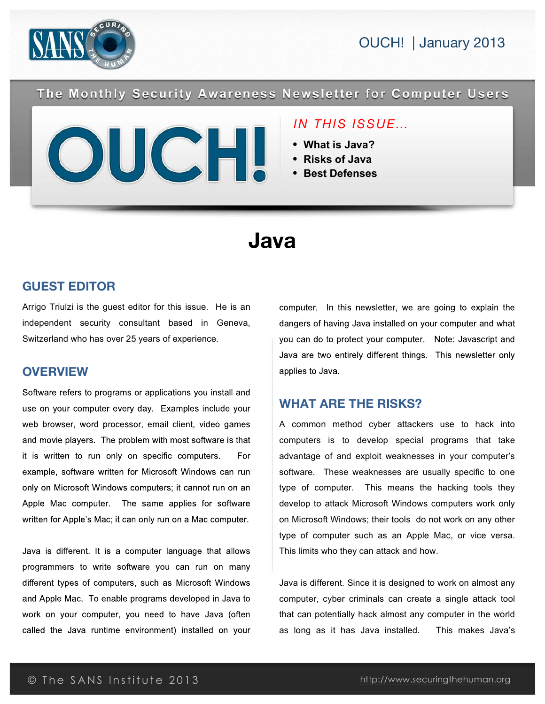



The Monthly Security Awareness Newsletter for Computer Users

#### *IN THIS ISSUE…*

- **What is Java?**
- **Risks of Java**
- **Best Defenses**

# **Java**

#### **GUEST EDITOR**

Arrigo Triulzi is the guest editor for this issue. He is an independent security consultant based in Geneva, Switzerland who has over 25 years of experience.

#### **OVERVIEW**

Software refers to programs or applications you install and use on your computer every day. Examples include your web browser, word processor, email client, video games and movie players. The problem with most software is that it is written to run only on specific computers. For example, software written for Microsoft Windows can run only on Microsoft Windows computers; it cannot run on an Apple Mac computer. The same applies for software written for Apple's Mac; it can only run on a Mac computer.

Java is different. It is a computer language that allows programmers to write software you can run on many different types of computers, such as Microsoft Windows and Apple Mac. To enable programs developed in Java to work on your computer, you need to have Java (often called the Java runtime environment) installed on your

computer. In this newsletter, we are going to explain the dangers of having Java installed on your computer and what you can do to protect your computer. Note: Javascript and Java are two entirely different things. This newsletter only applies to Java.

#### **WHAT ARE THE RISKS?**

A common method cyber attackers use to hack into computers is to develop special programs that take advantage of and exploit weaknesses in your computer's software. These weaknesses are usually specific to one type of computer. This means the hacking tools they develop to attack Microsoft Windows computers work only on Microsoft Windows; their tools do not work on any other type of computer such as an Apple Mac, or vice versa. This limits who they can attack and how.

Java is different. Since it is designed to work on almost any computer, cyber criminals can create a single attack tool that can potentially hack almost any computer in the world as long as it has Java installed. This makes Java's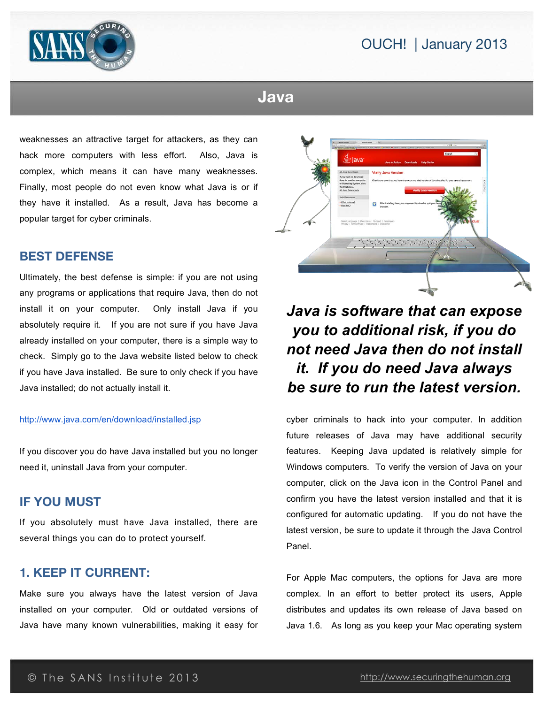## OUCH! | January 2013



## **Java**

weaknesses an attractive target for attackers, as they can hack more computers with less effort. Also, Java is complex, which means it can have many weaknesses. Finally, most people do not even know what Java is or if they have it installed. As a result, Java has become a popular target for cyber criminals.

#### **BEST DEFENSE**

Ultimately, the best defense is simple: if you are not using any programs or applications that require Java, then do not install it on your computer. Only install Java if you absolutely require it. If you are not sure if you have Java already installed on your computer, there is a simple way to check. Simply go to the Java website listed below to check if you have Java installed. Be sure to only check if you have Java installed; do not actually install it.

#### http://www.java.com/en/download/installed.jsp

If you discover you do have Java installed but you no longer need it, uninstall Java from your computer.

#### **IF YOU MUST**

If you absolutely must have Java installed, there are several things you can do to protect yourself.

#### **1. KEEP IT CURRENT:**

Make sure you always have the latest version of Java installed on your computer. Old or outdated versions of Java have many known vulnerabilities, making it easy for



## *Java is software that can expose you to additional risk, if you do not need Java then do not install it. If you do need Java always be sure to run the latest version.*

cyber criminals to hack into your computer. In addition future releases of Java may have additional security features. Keeping Java updated is relatively simple for Windows computers. To verify the version of Java on your computer, click on the Java icon in the Control Panel and confirm you have the latest version installed and that it is configured for automatic updating. If you do not have the latest version, be sure to update it through the Java Control Panel.

For Apple Mac computers, the options for Java are more complex. In an effort to better protect its users, Apple distributes and updates its own release of Java based on Java 1.6. As long as you keep your Mac operating system